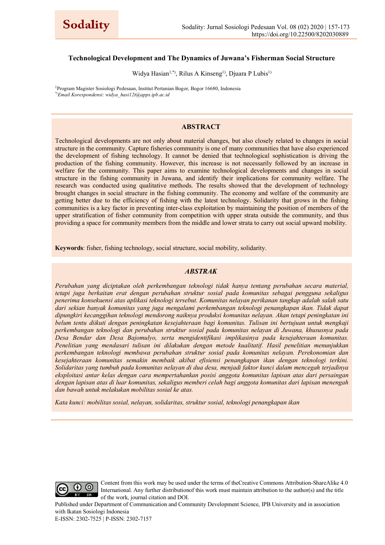

#### **Technological Development and The Dynamics of Juwana's Fisherman Social Structure**

Widya Hasian<sup>1,\*)</sup>, Rilus A Kinseng<sup>1</sup>), Djuara P Lubis<sup>1)</sup>

1 Program Magister Sosiologi Pedesaan, Institut Pertanian Bogor, Bogor 16680, Indonesia *\*)Email Korespondensi: widya\_hasi12t@apps.ipb.ac.id*

#### **ABSTRACT**

Technological developments are not only about material changes, but also closely related to changes in social structure in the community. Capture fisheries community is one of many communities that have also experienced the development of fishing technology. It cannot be denied that technological sophistication is driving the production of the fishing community. However, this increase is not necessarily followed by an increase in welfare for the community. This paper aims to examine technological developments and changes in social structure in the fishing community in Juwana, and identify their implications for community welfare. The research was conducted using qualitative methods. The results showed that the development of technology brought changes in social structure in the fishing community. The economy and welfare of the community are getting better due to the efficiency of fishing with the latest technology. Solidarity that grows in the fishing communities is a key factor in preventing inter-class exploitation by maintaining the position of members of the upper stratification of fisher community from competition with upper strata outside the community, and thus providing a space for community members from the middle and lower strata to carry out social upward mobility.

**Keywords**: fisher, fishing technology, social structure, social mobility, solidarity.

#### *ABSTRAK*

*Perubahan yang diciptakan oleh perkembangan teknologi tidak hanya tentang perubahan secara material, tetapi juga berkaitan erat dengan perubahan struktur sosial pada komunitas sebagai pengguna sekaligus penerima konsekuensi atas aplikasi teknologi tersebut. Komunitas nelayan perikanan tangkap adalah salah satu dari sekian banyak komunitas yang juga mengalami perkembangan teknologi penangkapan ikan. Tidak dapat dipungkiri kecanggihan teknologi mendorong naiknya produksi komunitas nelayan. Akan tetapi peningkatan ini belum tentu diikuti dengan peningkatan kesejahteraan bagi komunitas. Tulisan ini bertujuan untuk mengkaji perkembangan teknologi dan perubahan struktur sosial pada komunitas nelayan di Juwana, khususnya pada Desa Bendar dan Desa Bajomulyo, serta mengidentifikasi implikasinya pada kesejahteraan komunitas. Penelitian yang mendasari tulisan ini dilakukan dengan metode kualitatif. Hasil penelitian menunjukkan perkembangan teknologi membawa perubahan struktur sosial pada komunitas nelayan. Perekonomian dan kesejahteraan komunitas semakin membaik akibat efisiensi penangkapan ikan dengan teknologi terkini. Solidaritas yang tumbuh pada komunitas nelayan di dua desa, menjadi faktor kunci dalam mencegah terjadinya eksploitasi antar kelas dengan cara mempertahankan posisi anggota komunitas lapisan atas dari persaingan dengan lapisan atas di luar komunitas, sekaligus memberi celah bagi anggota komunitas dari lapisan menengah dan bawah untuk melakukan mobilitas sosial ke atas.* 

*Kata kunci: mobilitas sosial, nelayan, solidaritas, struktur sosial, teknologi penangkapan ikan*



Content from this work may be used under the terms of theCreative Commons Attribution-ShareAlike 4.0 International. Any further distributionof this work must maintain attribution to the author(s) and the title of the work, journal citation and DOI.

Published under Department of Communication and Community Development Science, IPB University and in association with Ikatan Sosiologi Indonesia E-ISSN: 2302-7525 | P-ISSN: 2302-7157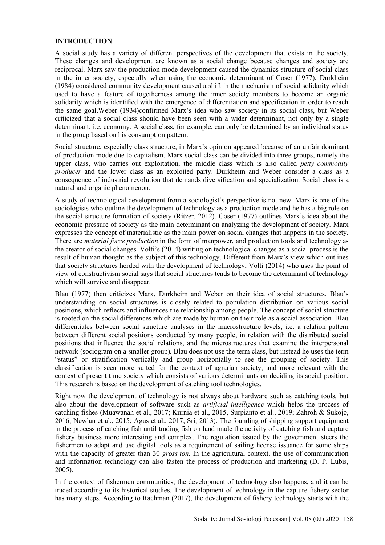#### **INTRODUCTION**

A social study has a variety of different perspectives of the development that exists in the society. These changes and development are known as a social change because changes and society are reciprocal. Marx saw the production mode development caused the dynamics structure of social class in the inner society, especially when using the economic determinant of Coser (1977). Durkheim (1984) considered community development caused a shift in the mechanism of social solidarity which used to have a feature of togetherness among the inner society members to become an organic solidarity which is identified with the emergence of differentiation and specification in order to reach the same goal.Weber (1934)confirmed Marx's idea who saw society in its social class, but Weber criticized that a social class should have been seen with a wider determinant, not only by a single determinant, i.e. economy. A social class, for example, can only be determined by an individual status in the group based on his consumption pattern.

Social structure, especially class structure, in Marx's opinion appeared because of an unfair dominant of production mode due to capitalism. Marx social class can be divided into three groups, namely the upper class, who carries out exploitation, the middle class which is also called *petty commodity producer* and the lower class as an exploited party. Durkheim and Weber consider a class as a consequence of industrial revolution that demands diversification and specialization. Social class is a natural and organic phenomenon.

A study of technological development from a sociologist's perspective is not new. Marx is one of the sociologists who outline the development of technology as a production mode and he has a big role on the social structure formation of society (Ritzer, 2012). Coser (1977) outlines Marx's idea about the economic pressure of society as the main determinant on analyzing the development of society. Marx expresses the concept of materialistic as the main power on social changes that happens in the society. There are *material force production* in the form of manpower, and production tools and technology as the creator of social changes. Volti's (2014) writing on technological changes as a social process is the result of human thought as the subject of this technology. Different from Marx's view which outlines that society structures herded with the development of technology, Volti (2014) who uses the point of view of constructivism social says that social structures tends to become the determinant of technology which will survive and disappear.

Blau (1977) then criticizes Marx, Durkheim and Weber on their idea of social structures. Blau's understanding on social structures is closely related to population distribution on various social positions, which reflects and influences the relationship among people. The concept of social structure is rooted on the social differences which are made by human on their role as a social association. Blau differentiates between social structure analyses in the macrostructure levels, i.e. a relation pattern between different social positions conducted by many people, in relation with the distributed social positions that influence the social relations, and the microstructures that examine the interpersonal network (sociogram on a smaller group). Blau does not use the term class, but instead he uses the term "status" or stratification vertically and group horizontally to see the grouping of society. This classification is seen more suited for the context of agrarian society, and more relevant with the context of present time society which consists of various determinants on deciding its social position. This research is based on the development of catching tool technologies.

Right now the development of technology is not always about hardware such as catching tools, but also about the development of software such as *artificial intelligence* which helps the process of catching fishes (Muawanah et al., 2017; Kurnia et al., 2015, Surpianto et al., 2019; Zahroh & Sukojo, 2016; Newlan et al., 2015; Agus et al., 2017; Sri, 2013). The founding of shipping support equipment in the process of catching fish until trading fish on land made the activity of catching fish and capture fishery business more interesting and complex. The regulation issued by the government steers the fishermen to adapt and use digital tools as a requirement of sailing license issuance for some ships with the capacity of greater than 30 *gross ton*. In the agricultural context, the use of communication and information technology can also fasten the process of production and marketing (D. P. Lubis, 2005).

In the context of fishermen communities, the development of technology also happens, and it can be traced according to its historical studies. The development of technology in the capture fishery sector has many steps. According to Rachman (2017), the development of fishery technology starts with the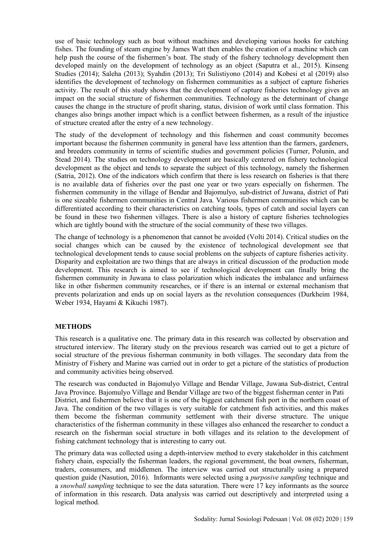use of basic technology such as boat without machines and developing various hooks for catching fishes. The founding of steam engine by James Watt then enables the creation of a machine which can help push the course of the fishermen's boat. The study of the fishery technology development then developed mainly on the development of technology as an object (Saputra et al., 2015). Kinseng Studies (2014); Saleha (2013); Syahdin (2013); Tri Sulistiyono (2014) and Kobesi et al (2019) also identifies the development of technology on fishermen communities as a subject of capture fisheries activity. The result of this study shows that the development of capture fisheries technology gives an impact on the social structure of fishermen communities. Technology as the determinant of change causes the change in the structure of profit sharing, status, division of work until class formation. This changes also brings another impact which is a conflict between fishermen, as a result of the injustice of structure created after the entry of a new technology.

The study of the development of technology and this fishermen and coast community becomes important because the fishermen community in general have less attention than the farmers, gardeners, and breeders community in terms of scientific studies and government policies (Turner, Polunin, and Stead 2014). The studies on technology development are basically centered on fishery technological development as the object and tends to separate the subject of this technology, namely the fishermen (Satria, 2012). One of the indicators which confirm that there is less research on fisheries is that there is no available data of fisheries over the past one year or two years especially on fishermen. The fishermen community in the village of Bendar and Bajomulyo, sub-district of Juwana, district of Pati is one sizeable fishermen communities in Central Java. Various fishermen communities which can be differentiated according to their characteristics on catching tools, types of catch and social layers can be found in these two fishermen villages. There is also a history of capture fisheries technologies which are tightly bound with the structure of the social community of these two villages.

The change of technology is a phenomenon that cannot be avoided (Volti 2014). Critical studies on the social changes which can be caused by the existence of technological development see that technological development tends to cause social problems on the subjects of capture fisheries activity. Disparity and exploitation are two things that are always in critical discussion of the production mode development. This research is aimed to see if technological development can finally bring the fishermen community in Juwana to class polarization which indicates the imbalance and unfairness like in other fishermen community researches, or if there is an internal or external mechanism that prevents polarization and ends up on social layers as the revolution consequences (Durkheim 1984, Weber 1934, Hayami & Kikuchi 1987).

# **METHODS**

This research is a qualitative one. The primary data in this research was collected by observation and structured interview. The literary study on the previous research was carried out to get a picture of social structure of the previous fisherman community in both villages. The secondary data from the Ministry of Fishery and Marine was carried out in order to get a picture of the statistics of production and community activities being observed.

The research was conducted in Bajomulyo Village and Bendar Village, Juwana Sub-district, Central District, and fishermen believe that it is one of the biggest catchment fish port in the northern coast of Java. The condition of the two villages is very suitable for catchment fish activities, and this makes them become the fisherman community settlement with their diverse structure. The unique characteristics of the fisherman community in these villages also enhanced the researcher to conduct a research on the fisherman social structure in both villages and its relation to the development of fishing catchment technology that is interesting to carry out. Java Province. Bajomulyo Village and Bendar Village are two of the biggest fisherman center in Pati

The primary data was collected using a depth-interview method to every stakeholder in this catchment fishery chain, especially the fisherman leaders, the regional government, the boat owners, fisherman, traders, consumers, and middlemen. The interview was carried out structurally using a prepared question guide (Nasution, 2016). Informants were selected using a *purposive sampling* technique and a *snowball sampling* technique to see the data saturation. There were 17 key informants as the source of information in this research. Data analysis was carried out descriptively and interpreted using a logical method.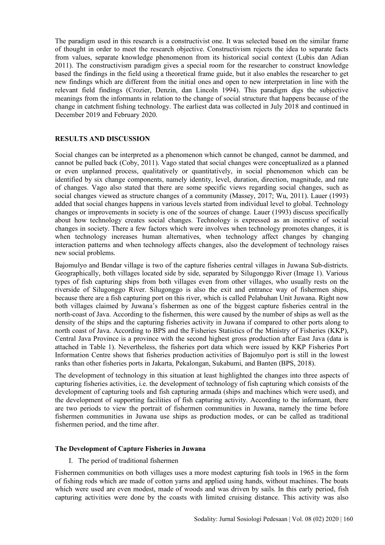The paradigm used in this research is a constructivist one. It was selected based on the similar frame of thought in order to meet the research objective. Constructivism rejects the idea to separate facts from values, separate knowledge phenomenon from its historical social context (Lubis dan Adian 2011). The constructivism paradigm gives a special room for the researcher to construct knowledge based the findings in the field using a theoretical frame guide, but it also enables the researcher to get new findings which are different from the initial ones and open to new interpretation in line with the relevant field findings (Crozier, Denzin, dan Lincoln 1994). This paradigm digs the subjective meanings from the informants in relation to the change of social structure that happens because of the change in catchment fishing technology. The earliest data was collected in July 2018 and continued in December 2019 and February 2020.

### **RESULTS AND DISCUSSION**

Social changes can be interpreted as a phenomenon which cannot be changed, cannot be dammed, and cannot be pulled back (Coby, 2011). Vago stated that social changes were conceptualized as a planned or even unplanned process, qualitatively or quantitatively, in social phenomenon which can be identified by six change components, namely identity, level, duration, direction, magnitude, and rate of changes. Vago also stated that there are some specific views regarding social changes, such as social changes viewed as structure changes of a community (Massey, 2017; Wu, 2011). Lauer (1993) added that social changes happens in various levels started from individual level to global. Technology changes or improvements in society is one of the sources of change. Lauer (1993) discuss specifically about how technology creates social changes. Technology is expressed as an incentive of social changes in society. There a few factors which were involves when technology promotes changes, it is when technology increases human alternatives, when technology affect changes by changing interaction patterns and when technology affects changes, also the development of technology raises new social problems.

Bajomulyo and Bendar village is two of the capture fisheries central villages in Juwana Sub-districts. Geographically, both villages located side by side, separated by Silugonggo River (Image 1). Various types of fish capturing ships from both villages even from other villages, who usually rests on the riverside of Silugonggo River. Silugonggo is also the exit and entrance way of fishermen ships, because there are a fish capturing port on this river, which is called Pelabuhan Unit Juwana. Right now both villages claimed by Juwana's fishermen as one of the biggest capture fisheries central in the north-coast of Java. According to the fishermen, this were caused by the number of ships as well as the density of the ships and the capturing fisheries activity in Juwana if compared to other ports along to north coast of Java. According to BPS and the Fisheries Statistics of the Ministry of Fisheries (KKP), Central Java Province is a province with the second highest gross production after East Java (data is attached in Table 1). Nevertheless, the fisheries port data which were issued by KKP Fisheries Port Information Centre shows that fisheries production activities of Bajomulyo port is still in the lowest ranks than other fisheries ports in Jakarta, Pekalongan, Sukabumi, and Banten (BPS, 2018).

The development of technology in this situation at least highlighted the changes into three aspects of capturing fisheries activities, i.e. the development of technology of fish capturing which consists of the development of capturing tools and fish capturing armada (ships and machines which were used), and the development of supporting facilities of fish capturing activity. According to the informant, there are two periods to view the portrait of fishermen communities in Juwana, namely the time before fishermen communities in Juwana use ships as production modes, or can be called as traditional fishermen period, and the time after.

### **The Development of Capture Fisheries in Juwana**

I. The period of traditional fishermen

Fishermen communities on both villages uses a more modest capturing fish tools in 1965 in the form of fishing rods which are made of cotton yarns and applied using hands, without machines. The boats which were used are even modest, made of woods and was driven by sails. In this early period, fish capturing activities were done by the coasts with limited cruising distance. This activity was also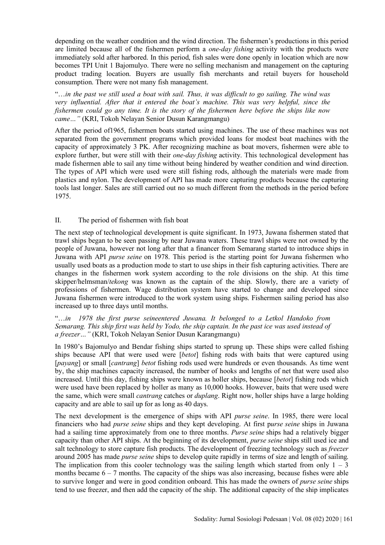depending on the weather condition and the wind direction. The fishermen's productions in this period are limited because all of the fishermen perform a *one-day fishing* activity with the products were immediately sold after harbored. In this period, fish sales were done openly in location which are now becomes TPI Unit 1 Bajomulyo. There were no selling mechanism and management on the capturing product trading location. Buyers are usually fish merchants and retail buyers for household consumption. There were not many fish management.

"…*in the past we still used a boat with sail. Thus, it was difficult to go sailing. The wind was very influential. After that it entered the boat's machine. This was very helpful, since the fishermen could go any time. It is the story of the fishermen here before the ships like now came…"* (KRI, Tokoh Nelayan Senior Dusun Karangmangu)

After the period of1965, fishermen boats started using machines. The use of these machines was not separated from the government programs which provided loans for modest boat machines with the capacity of approximately 3 PK. After recognizing machine as boat movers, fishermen were able to explore further, but were still with their *one-day fishing* activity. This technological development has made fishermen able to sail any time without being hindered by weather condition and wind direction. The types of API which were used were still fishing rods, although the materials were made from plastics and nylon. The development of API has made more capturing products because the capturing tools last longer. Sales are still carried out no so much different from the methods in the period before 1975.

## II. The period of fishermen with fish boat

The next step of technological development is quite significant. In 1973, Juwana fishermen stated that trawl ships began to be seen passing by near Juwana waters. These trawl ships were not owned by the people of Juwana, however not long after that a financer from Semarang started to introduce ships in Juwana with API *purse seine* on 1978. This period is the starting point for Juwana fishermen who usually used boats as a production mode to start to use ships in their fish capturing activities. There are changes in the fishermen work system according to the role divisions on the ship. At this time skipper/helmsman/*tekong* was known as the captain of the ship. Slowly, there are a variety of professions of fishermen. Wage distribution system have started to change and developed since Juwana fishermen were introduced to the work system using ships. Fishermen sailing period has also increased up to three days until months.

## "…*in 1978 the first purse seineentered Juwana. It belonged to a Letkol Handoko from Semarang. This ship first was held by Yodo, the ship captain. In the past ice was used instead of a freezer…"* (KRI, Tokoh Nelayan Senior Dusun Karangmangu)

In 1980's Bajomulyo and Bendar fishing ships started to sprung up. These ships were called fishing ships because API that were used were [*betot*] fishing rods with baits that were captured using [*payang*] or small [*cantrang*] *betot* fishing rods used were hundreds or even thousands. As time went by, the ship machines capacity increased, the number of hooks and lengths of net that were used also increased. Until this day, fishing ships were known as holler ships, because [*betot*] fishing rods which were used have been replaced by holler as many as 10,000 hooks. However, baits that were used were the same, which were small *cantrang* catches or *duplang*. Right now, holler ships have a large holding capacity and are able to sail up for as long as 40 days.

The next development is the emergence of ships with API *purse seine*. In 1985, there were local financiers who had *purse seine* ships and they kept developing. At first p*urse seine* ships in Juwana had a sailing time approximately from one to three months. *Purse seine* ships had a relatively bigger capacity than other API ships. At the beginning of its development, *purse seine* ships still used ice and salt technology to store capture fish products. The development of freezing technology such as *freezer*  around 2005 has made *purse seine* ships to develop quite rapidly in terms of size and length of sailing. The implication from this cooler technology was the sailing length which started from only  $1 - 3$ months became  $6 - 7$  months. The capacity of the ships was also increasing, because fishes were able to survive longer and were in good condition onboard. This has made the owners of *purse seine* ships tend to use freezer, and then add the capacity of the ship. The additional capacity of the ship implicates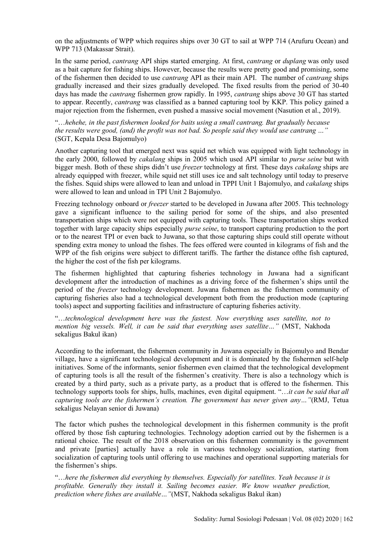on the adjustments of WPP which requires ships over 30 GT to sail at WPP 714 (Arufuru Ocean) and WPP 713 (Makassar Strait).

In the same period, *cantrang* API ships started emerging. At first, *cantrang* or *duplang* was only used as a bait capture for fishing ships. However, because the results were pretty good and promising, some of the fishermen then decided to use *cantrang* API as their main API. The number of *cantrang* ships gradually increased and their sizes gradually developed. The fixed results from the period of 30-40 days has made the *cantrang* fishermen grow rapidly. In 1995, *cantrang* ships above 30 GT has started to appear. Recently, *cantrang* was classified as a banned capturing tool by KKP. This policy gained a major rejection from the fishermen, even pushed a massive social movement (Nasution et al., 2019).

"…*hehehe, in the past fishermen looked for baits using a small cantrang. But gradually because the results were good, (and) the profit was not bad. So people said they would use cantrang …"*  (SGT, Kepala Desa Bajomulyo)

Another capturing tool that emerged next was squid net which was equipped with light technology in the early 2000, followed by *cakalang* ships in 2005 which used API similar to *purse seine* but with bigger mesh. Both of these ships didn't use *freezer* technology at first. These days *cakalang* ships are already equipped with freezer, while squid net still uses ice and salt technology until today to preserve the fishes. Squid ships were allowed to lean and unload in TPPI Unit 1 Bajomulyo, and *cakalang* ships were allowed to lean and unload in TPI Unit 2 Bajomulyo.

Freezing technology onboard or *freezer* started to be developed in Juwana after 2005. This technology gave a significant influence to the sailing period for some of the ships, and also presented transportation ships which were not equipped with capturing tools. These transportation ships worked together with large capacity ships especially *purse seine*, to transport capturing production to the port or to the nearest TPI or even back to Juwana, so that those capturing ships could still operate without spending extra money to unload the fishes. The fees offered were counted in kilograms of fish and the WPP of the fish origins were subject to different tariffs. The farther the distance ofthe fish captured, the higher the cost of the fish per kilograms.

The fishermen highlighted that capturing fisheries technology in Juwana had a significant development after the introduction of machines as a driving force of the fishermen's ships until the period of the *freezer* technology development. Juwana fishermen as the fishermen community of capturing fisheries also had a technological development both from the production mode (capturing tools) aspect and supporting facilities and infrastructure of capturing fisheries activity.

"…*technological development here was the fastest. Now everything uses satellite, not to mention big vessels. Well, it can be said that everything uses satellite…"* (MST, Nakhoda sekaligus Bakul ikan)

According to the informant, the fishermen community in Juwana especially in Bajomulyo and Bendar village, have a significant technological development and it is dominated by the fishermen self-help initiatives. Some of the informants, senior fishermen even claimed that the technological development of capturing tools is all the result of the fishermen's creativity. There is also a technology which is created by a third party, such as a private party, as a product that is offered to the fishermen. This technology supports tools for ships, hulls, machines, even digital equipment. "…*it can be said that all capturing tools are the fishermen's creation. The government has never given any…"*(RMJ, Tetua sekaligus Nelayan senior di Juwana)

The factor which pushes the technological development in this fishermen community is the profit offered by those fish capturing technologies. Technology adoption carried out by the fishermen is a rational choice. The result of the 2018 observation on this fishermen community is the government and private [parties] actually have a role in various technology socialization, starting from socialization of capturing tools until offering to use machines and operational supporting materials for the fishermen's ships.

"…*here the fishermen did everything by themselves. Especially for satellites. Yeah because it is profitable. Generally they install it. Sailing becomes easier. We know weather prediction, prediction where fishes are available…"*(MST, Nakhoda sekaligus Bakul ikan)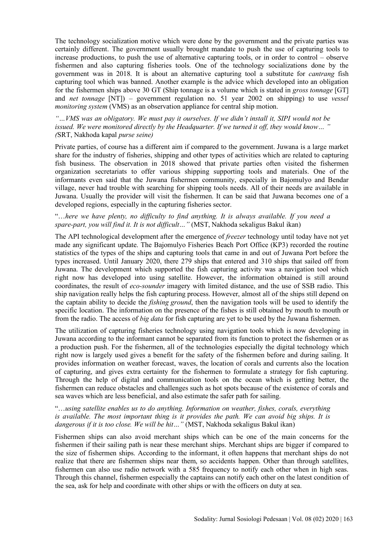The technology socialization motive which were done by the government and the private parties was certainly different. The government usually brought mandate to push the use of capturing tools to increase productions, to push the use of alternative capturing tools, or in order to control – observe fishermen and also capturing fisheries tools. One of the technology socializations done by the government was in 2018. It is about an alternative capturing tool a substitute for *cantrang* fish capturing tool which was banned. Another example is the advice which developed into an obligation for the fishermen ships above 30 GT (Ship tonnage is a volume which is stated in *gross tonnage* [GT] and *net tonnage* [NT]) – government regulation no. 51 year 2002 on shipping) to use *vessel monitoring system* (VMS) as an observation appliance for central ship motion.

*"…VMS was an obligatory. We must pay it ourselves. If we didn't install it, SIPI would not be issued. We were monitored directly by the Headquarter. If we turned it off, they would know… " (*SRT, Nakhoda kapal *purse seine)*

Private parties, of course has a different aim if compared to the government. Juwana is a large market share for the industry of fisheries, shipping and other types of activities which are related to capturing fish business. The observation in 2018 showed that private parties often visited the fishermen organization secretariats to offer various shipping supporting tools and materials. One of the informants even said that the Juwana fishermen community, especially in Bajomulyo and Bendar village, never had trouble with searching for shipping tools needs. All of their needs are available in Juwana. Usually the provider will visit the fishermen. It can be said that Juwana becomes one of a developed regions, especially in the capturing fisheries sector.

#### "…*here we have plenty, no difficulty to find anything. It is always available. If you need a spare-part, you will find it. It is not difficult…"* (MST, Nakhoda sekaligus Bakul ikan)

The API technological development after the emergence of *freezer* technology until today have not yet made any significant update. The Bajomulyo Fisheries Beach Port Office (KP3) recorded the routine statistics of the types of the ships and capturing tools that came in and out of Juwana Port before the types increased. Until January 2020, there 279 ships that entered and 310 ships that sailed off from Juwana. The development which supported the fish capturing activity was a navigation tool which right now has developed into using satellite. However, the information obtained is still around coordinates, the result of *eco-sounder* imagery with limited distance, and the use of SSB radio. This ship navigation really helps the fish capturing process. However, almost all of the ships still depend on the captain ability to decide the *fishing ground*, then the navigation tools will be used to identify the specific location. The information on the presence of the fishes is still obtained by mouth to mouth or from the radio. The access of *big data* for fish capturing are yet to be used by the Juwana fishermen.

The utilization of capturing fisheries technology using navigation tools which is now developing in Juwana according to the informant cannot be separated from its function to protect the fishermen or as a production push. For the fishermen, all of the technologies especially the digital technology which right now is largely used gives a benefit for the safety of the fishermen before and during sailing. It provides information on weather forecast, waves, the location of corals and currents also the location of capturing, and gives extra certainty for the fishermen to formulate a strategy for fish capturing. Through the help of digital and communication tools on the ocean which is getting better, the fishermen can reduce obstacles and challenges such as hot spots because of the existence of corals and sea waves which are less beneficial, and also estimate the safer path for sailing.

## "…*using satellite enables us to do anything. Information on weather, fishes, corals, everything is available. The most important thing is it provides the path. We can avoid big ships. It is dangerous if it is too close. We will be hit…"* (MST, Nakhoda sekaligus Bakul ikan)

Fishermen ships can also avoid merchant ships which can be one of the main concerns for the fishermen if their sailing path is near these merchant ships. Merchant ships are bigger if compared to the size of fishermen ships. According to the informant, it often happens that merchant ships do not realize that there are fishermen ships near them, so accidents happen. Other than through satellites, fishermen can also use radio network with a 585 frequency to notify each other when in high seas. Through this channel, fishermen especially the captains can notify each other on the latest condition of the sea, ask for help and coordinate with other ships or with the officers on duty at sea.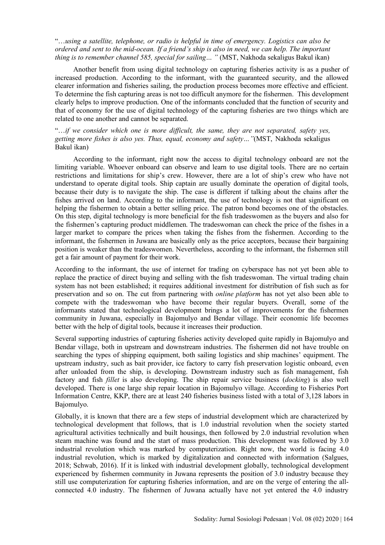"…*using a satellite, telephone, or radio is helpful in time of emergency. Logistics can also be ordered and sent to the mid-ocean. If a friend's ship is also in need, we can help. The important thing is to remember channel 585, special for sailing...* " (MST, Nakhoda sekaligus Bakul ikan)

Another benefit from using digital technology on capturing fisheries activity is as a pusher of increased production. According to the informant, with the guaranteed security, and the allowed clearer information and fisheries sailing, the production process becomes more effective and efficient. To determine the fish capturing areas is not too difficult anymore for the fishermen. This development clearly helps to improve production. One of the informants concluded that the function of security and that of economy for the use of digital technology of the capturing fisheries are two things which are related to one another and cannot be separated.

### "…*if we consider which one is more difficult, the same, they are not separated, safety yes, getting more fishes is also yes. Thus, equal, economy and safety…"*(MST, Nakhoda sekaligus Bakul ikan)

According to the informant, right now the access to digital technology onboard are not the limiting variable. Whoever onboard can observe and learn to use digital tools. There are no certain restrictions and limitations for ship's crew. However, there are a lot of ship's crew who have not understand to operate digital tools. Ship captain are usually dominate the operation of digital tools, because their duty is to navigate the ship. The case is different if talking about the chains after the fishes arrived on land. According to the informant, the use of technology is not that significant on helping the fishermen to obtain a better selling price. The patron bond becomes one of the obstacles. On this step, digital technology is more beneficial for the fish tradeswomen as the buyers and also for the fishermen's capturing product middlemen. The tradeswoman can check the price of the fishes in a larger market to compare the prices when taking the fishes from the fishermen. According to the informant, the fishermen in Juwana are basically only as the price acceptors, because their bargaining position is weaker than the tradeswomen. Nevertheless, according to the informant, the fishermen still get a fair amount of payment for their work.

According to the informant, the use of internet for trading on cyberspace has not yet been able to replace the practice of direct buying and selling with the fish tradeswoman. The virtual trading chain system has not been established; it requires additional investment for distribution of fish such as for preservation and so on. The cut from partnering with *online platform* has not yet also been able to compete with the tradeswoman who have become their regular buyers. Overall, some of the informants stated that technological development brings a lot of improvements for the fishermen community in Juwana, especially in Bajomulyo and Bendar village. Their economic life becomes better with the help of digital tools, because it increases their production.

Several supporting industries of capturing fisheries activity developed quite rapidly in Bajomulyo and Bendar village, both in upstream and downstream industries. The fishermen did not have trouble on searching the types of shipping equipment, both sailing logistics and ship machines' equipment. The upstream industry, such as bait provider, ice factory to carry fish preservation logistic onboard, even after unloaded from the ship, is developing. Downstream industry such as fish management, fish factory and fish *fillet* is also developing. The ship repair service business (*docking*) is also well developed. There is one large ship repair location in Bajomulyo village. According to Fisheries Port Information Centre, KKP, there are at least 240 fisheries business listed with a total of 3,128 labors in Bajomulyo.

Globally, it is known that there are a few steps of industrial development which are characterized by technological development that follows, that is 1.0 industrial revolution when the society started agricultural activities technically and built housings, then followed by 2.0 industrial revolution when steam machine was found and the start of mass production. This development was followed by 3.0 industrial revolution which was marked by computerization. Right now, the world is facing 4.0 industrial revolution, which is marked by digitalization and connected with information (Salgues, 2018; Schwab, 2016). If it is linked with industrial development globally, technological development experienced by fishermen community in Juwana represents the position of 3.0 industry because they still use computerization for capturing fisheries information, and are on the verge of entering the allconnected 4.0 industry. The fishermen of Juwana actually have not yet entered the 4.0 industry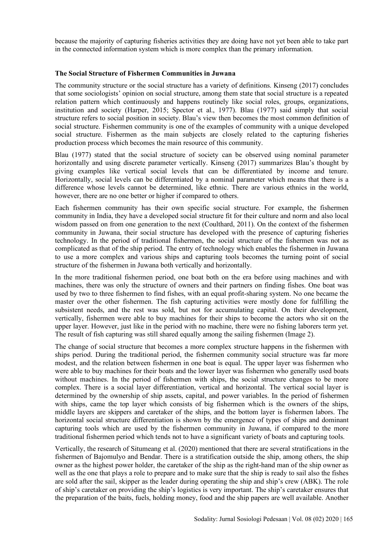because the majority of capturing fisheries activities they are doing have not yet been able to take part in the connected information system which is more complex than the primary information.

### **The Social Structure of Fishermen Communities in Juwana**

The community structure or the social structure has a variety of definitions. Kinseng (2017) concludes that some sociologists' opinion on social structure, among them state that social structure is a repeated relation pattern which continuously and happens routinely like social roles, groups, organizations, institution and society (Harper, 2015; Spector et al., 1977). Blau (1977) said simply that social structure refers to social position in society. Blau's view then becomes the most common definition of social structure. Fishermen community is one of the examples of community with a unique developed social structure. Fishermen as the main subjects are closely related to the capturing fisheries production process which becomes the main resource of this community.

Blau (1977) stated that the social structure of society can be observed using nominal parameter horizontally and using discrete parameter vertically. Kinseng (2017) summarizes Blau's thought by giving examples like vertical social levels that can be differentiated by income and tenure. Horizontally, social levels can be differentiated by a nominal parameter which means that there is a difference whose levels cannot be determined, like ethnic. There are various ethnics in the world, however, there are no one better or higher if compared to others.

Each fishermen community has their own specific social structure. For example, the fishermen community in India, they have a developed social structure fit for their culture and norm and also local wisdom passed on from one generation to the next (Coulthard, 2011). On the context of the fishermen community in Juwana, their social structure has developed with the presence of capturing fisheries technology. In the period of traditional fishermen, the social structure of the fishermen was not as complicated as that of the ship period. The entry of technology which enables the fishermen in Juwana to use a more complex and various ships and capturing tools becomes the turning point of social structure of the fishermen in Juwana both vertically and horizontally.

In the more traditional fishermen period, one boat both on the era before using machines and with machines, there was only the structure of owners and their partners on finding fishes. One boat was used by two to three fishermen to find fishes, with an equal profit-sharing system. No one became the master over the other fishermen. The fish capturing activities were mostly done for fulfilling the subsistent needs, and the rest was sold, but not for accumulating capital. On their development, vertically, fishermen were able to buy machines for their ships to become the actors who sit on the upper layer. However, just like in the period with no machine, there were no fishing laborers term yet. The result of fish capturing was still shared equally among the sailing fishermen (Image 2).

The change of social structure that becomes a more complex structure happens in the fishermen with ships period. During the traditional period, the fishermen community social structure was far more modest, and the relation between fishermen in one boat is equal. The upper layer was fishermen who were able to buy machines for their boats and the lower layer was fishermen who generally used boats without machines. In the period of fishermen with ships, the social structure changes to be more complex. There is a social layer differentiation, vertical and horizontal. The vertical social layer is determined by the ownership of ship assets, capital, and power variables. In the period of fishermen with ships, came the top layer which consists of big fishermen which is the owners of the ships, middle layers are skippers and caretaker of the ships, and the bottom layer is fishermen labors. The horizontal social structure differentiation is shown by the emergence of types of ships and dominant capturing tools which are used by the fishermen community in Juwana, if compared to the more traditional fishermen period which tends not to have a significant variety of boats and capturing tools.

Vertically, the research of Situmeang et al. (2020) mentioned that there are several stratifications in the fishermen of Bajomulyo and Bendar. There is a stratification outside the ship, among others, the ship owner as the highest power holder, the caretaker of the ship as the right-hand man of the ship owner as well as the one that plays a role to prepare and to make sure that the ship is ready to sail also the fishes are sold after the sail, skipper as the leader during operating the ship and ship's crew (ABK). The role of ship's caretaker on providing the ship's logistics is very important. The ship's caretaker ensures that the preparation of the baits, fuels, holding money, food and the ship papers are well available. Another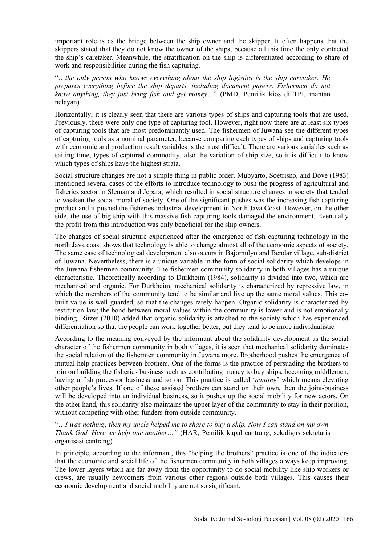important role is as the bridge between the ship owner and the skipper. It often happens that the skippers stated that they do not know the owner of the ships, because all this time the only contacted the ship's caretaker. Meanwhile, the stratification on the ship is differentiated according to share of work and responsibilities during the fish capturing.

"…*the only person who knows everything about the ship logistics is the ship caretaker. He prepares everything before the ship departs, including document papers. Fishermen do not know anything, they just bring fish and get money…*" (PMD, Pemilik kios di TPI, mantan nelayan)

Horizontally, it is clearly seen that there are various types of ships and capturing tools that are used. Previously, there were only one type of capturing tool. However, right now there are at least six types of capturing tools that are most predominantly used. The fishermen of Juwana see the different types of capturing tools as a nominal parameter, because comparing each types of ships and capturing tools with economic and production result variables is the most difficult. There are various variables such as sailing time, types of captured commodity, also the variation of ship size, so it is difficult to know which types of ships have the highest strata.

Social structure changes are not a simple thing in public order. Mubyarto, Soetrisno, and Dove (1983) mentioned several cases of the efforts to introduce technology to push the progress of agricultural and fisheries sector in Sleman and Jepara, which resulted in social structure changes in society that tended to weaken the social moral of society. One of the significant pushes was the increasing fish capturing product and it pushed the fisheries industrial development in North Java Coast. However, on the other side, the use of big ship with this massive fish capturing tools damaged the environment. Eventually the profit from this introduction was only beneficial for the ship owners.

The changes of social structure experienced after the emergence of fish capturing technology in the north Java coast shows that technology is able to change almost all of the economic aspects of society. The same case of technological development also occurs in Bajomulyo and Bendar village, sub-district of Juwana. Nevertheless, there is a unique variable in the form of social solidarity which develops in the Juwana fishermen community. The fishermen community solidarity in both villages has a unique characteristic. Theoretically according to Durkheim (1984), solidarity is divided into two, which are mechanical and organic. For Durkheim, mechanical solidarity is characterized by repressive law, in which the members of the community tend to be similar and live up the same moral values. This cobuilt value is well guarded, so that the changes rarely happen. Organic solidarity is characterized by restitution law; the bond between moral values within the community is lower and is not emotionally binding. Ritzer (2010) added that organic solidarity is attached to the society which has experienced differentiation so that the people can work together better, but they tend to be more individualistic.

According to the meaning conveyed by the informant about the solidarity development as the social character of the fishermen community in both villages, it is seen that mechanical solidarity dominates the social relation of the fishermen community in Juwana more. Brotherhood pushes the emergence of mutual help practices between brothers. One of the forms is the practice of persuading the brothers to join on building the fisheries business such as contributing money to buy ships, becoming middlemen, having a fish processor business and so on. This practice is called '*nanting*' which means elevating other people's lives. If one of these assisted brothers can stand on their own, then the joint-business will be developed into an individual business, so it pushes up the social mobility for new actors. On the other hand, this solidarity also maintains the upper layer of the community to stay in their position, without competing with other funders from outside community.

"…*I was nothing*, *then my uncle helped me to share to buy a ship. Now I can stand on my own. Thank God. Here we help one another…"* (HAR, Pemilik kapal cantrang, sekaligus sekretaris organisasi cantrang)

In principle, according to the informant, this "helping the brothers" practice is one of the indicators that the economic and social life of the fishermen community in both villages always keep improving. The lower layers which are far away from the opportunity to do social mobility like ship workers or crews, are usually newcomers from various other regions outside both villages. This causes their economic development and social mobility are not so significant.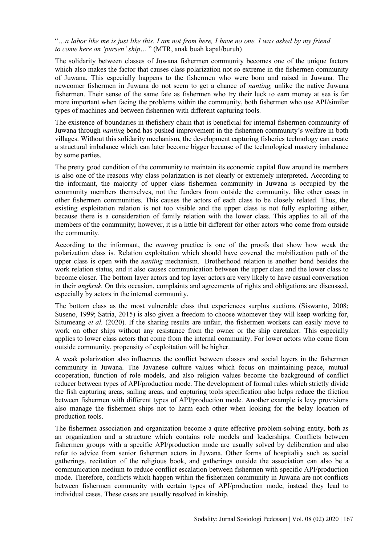"…*a labor like me is just like this. I am not from here, I have no one. I was asked by my friend to come here on 'pursen' ship…* " (MTR, anak buah kapal/buruh)

The solidarity between classes of Juwana fishermen community becomes one of the unique factors which also makes the factor that causes class polarization not so extreme in the fishermen community of Juwana. This especially happens to the fishermen who were born and raised in Juwana. The newcomer fishermen in Juwana do not seem to get a chance of *nanting,* unlike the native Juwana fishermen. Their sense of the same fate as fishermen who try their luck to earn money at sea is far more important when facing the problems within the community, both fishermen who use API/similar types of machines and between fishermen with different capturing tools.

The existence of boundaries in thefishery chain that is beneficial for internal fishermen community of Juwana through *nanting* bond has pushed improvement in the fishermen community's welfare in both villages. Without this solidarity mechanism, the development capturing fisheries technology can create a structural imbalance which can later become bigger because of the technological mastery imbalance by some parties.

The pretty good condition of the community to maintain its economic capital flow around its members is also one of the reasons why class polarization is not clearly or extremely interpreted. According to the informant, the majority of upper class fishermen community in Juwana is occupied by the community members themselves, not the funders from outside the community, like other cases in other fishermen communities. This causes the actors of each class to be closely related. Thus, the existing exploitation relation is not too visible and the upper class is not fully exploiting either, because there is a consideration of family relation with the lower class. This applies to all of the members of the community; however, it is a little bit different for other actors who come from outside the community.

According to the informant, the *nanting* practice is one of the proofs that show how weak the polarization class is. Relation exploitation which should have covered the mobilization path of the upper class is open with the *nanting* mechanism. Brotherhood relation is another bond besides the work relation status, and it also causes communication between the upper class and the lower class to become closer. The bottom layer actors and top layer actors are very likely to have casual conversation in their *angkruk*. On this occasion, complaints and agreements of rights and obligations are discussed, especially by actors in the internal community.

The bottom class as the most vulnerable class that experiences surplus suctions (Siswanto, 2008; Suseno, 1999; Satria, 2015) is also given a freedom to choose whomever they will keep working for, Situmeang *et al*. (2020). If the sharing results are unfair, the fishermen workers can easily move to work on other ships without any resistance from the owner or the ship caretaker. This especially applies to lower class actors that come from the internal community. For lower actors who come from outside community, propensity of exploitation will be higher.

A weak polarization also influences the conflict between classes and social layers in the fishermen community in Juwana. The Javanese culture values which focus on maintaining peace, mutual cooperation, function of role models, and also religion values become the background of conflict reducer between types of API/production mode. The development of formal rules which strictly divide the fish capturing areas, sailing areas, and capturing tools specification also helps reduce the friction between fishermen with different types of API/production mode. Another example is levy provisions also manage the fishermen ships not to harm each other when looking for the belay location of production tools.

The fishermen association and organization become a quite effective problem-solving entity, both as an organization and a structure which contains role models and leaderships. Conflicts between fishermen groups with a specific API/production mode are usually solved by deliberation and also refer to advice from senior fishermen actors in Juwana. Other forms of hospitality such as social gatherings, recitation of the religious book, and gatherings outside the association can also be a communication medium to reduce conflict escalation between fishermen with specific API/production mode. Therefore, conflicts which happen within the fishermen community in Juwana are not conflicts between fishermen community with certain types of API/production mode, instead they lead to individual cases. These cases are usually resolved in kinship.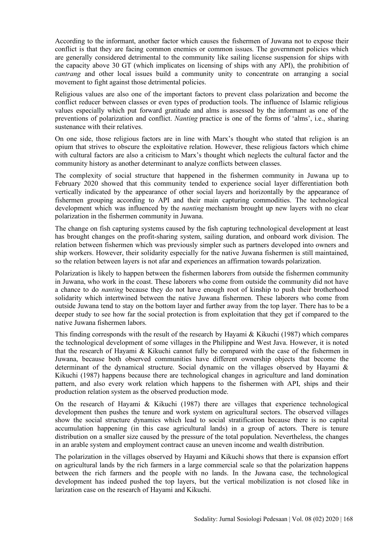According to the informant, another factor which causes the fishermen of Juwana not to expose their conflict is that they are facing common enemies or common issues. The government policies which are generally considered detrimental to the community like sailing license suspension for ships with the capacity above 30 GT (which implicates on licensing of ships with any API), the prohibition of *cantrang* and other local issues build a community unity to concentrate on arranging a social movement to fight against those detrimental policies.

Religious values are also one of the important factors to prevent class polarization and become the conflict reducer between classes or even types of production tools. The influence of Islamic religious values especially which put forward gratitude and alms is assessed by the informant as one of the preventions of polarization and conflict. *Nanting* practice is one of the forms of 'alms', i.e., sharing sustenance with their relatives.

On one side, those religious factors are in line with Marx's thought who stated that religion is an opium that strives to obscure the exploitative relation. However, these religious factors which chime with cultural factors are also a criticism to Marx's thought which neglects the cultural factor and the community history as another determinant to analyze conflicts between classes.

The complexity of social structure that happened in the fishermen community in Juwana up to February 2020 showed that this community tended to experience social layer differentiation both vertically indicated by the appearance of other social layers and horizontally by the appearance of fishermen grouping according to API and their main capturing commodities. The technological development which was influenced by the *nanting* mechanism brought up new layers with no clear polarization in the fishermen community in Juwana.

The change on fish capturing systems caused by the fish capturing technological development at least has brought changes on the profit-sharing system, sailing duration, and onboard work division. The relation between fishermen which was previously simpler such as partners developed into owners and ship workers. However, their solidarity especially for the native Juwana fishermen is still maintained, so the relation between layers is not afar and experiences an affirmation towards polarization.

Polarization is likely to happen between the fishermen laborers from outside the fishermen community in Juwana, who work in the coast. These laborers who come from outside the community did not have a chance to do *nanting* because they do not have enough root of kinship to push their brotherhood solidarity which intertwined between the native Juwana fishermen. These laborers who come from outside Juwana tend to stay on the bottom layer and further away from the top layer. There has to be a deeper study to see how far the social protection is from exploitation that they get if compared to the native Juwana fishermen labors.

This finding corresponds with the result of the research by Hayami  $\&$  Kikuchi (1987) which compares the technological development of some villages in the Philippine and West Java. However, it is noted that the research of Hayami & Kikuchi cannot fully be compared with the case of the fishermen in Juwana, because both observed communities have different ownership objects that become the determinant of the dynamical structure. Social dynamic on the villages observed by Hayami & Kikuchi (1987) happens because there are technological changes in agriculture and land domination pattern, and also every work relation which happens to the fishermen with API, ships and their production relation system as the observed production mode.

On the research of Hayami & Kikuchi (1987) there are villages that experience technological development then pushes the tenure and work system on agricultural sectors. The observed villages show the social structure dynamics which lead to social stratification because there is no capital accumulation happening (in this case agricultural lands) in a group of actors. There is tenure distribution on a smaller size caused by the pressure of the total population. Nevertheless, the changes in an arable system and employment contract cause an uneven income and wealth distribution.

The polarization in the villages observed by Hayami and Kikuchi shows that there is expansion effort on agricultural lands by the rich farmers in a large commercial scale so that the polarization happens between the rich farmers and the people with no lands. In the Juwana case, the technological development has indeed pushed the top layers, but the vertical mobilization is not closed like in larization case on the research of Hayami and Kikuchi.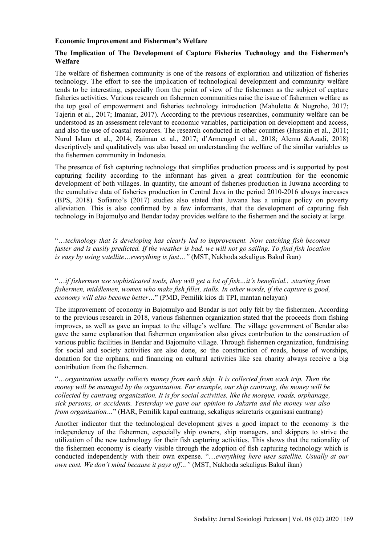#### **Economic Improvement and Fishermen's Welfare**

## **The Implication of The Development of Capture Fisheries Technology and the Fishermen's Welfare**

The welfare of fishermen community is one of the reasons of exploration and utilization of fisheries technology. The effort to see the implication of technological development and community welfare tends to be interesting, especially from the point of view of the fishermen as the subject of capture fisheries activities. Various research on fishermen communities raise the issue of fishermen welfare as the top goal of empowerment and fisheries technology introduction (Mahulette  $\&$  Nugroho, 2017; Tajerin et al., 2017; Imaniar, 2017). According to the previous researches, community welfare can be understood as an assessment relevant to economic variables, participation on development and access, and also the use of coastal resources. The research conducted in other countries (Hussain et al., 2011; Nurul Islam et al., 2014; Zaiman et al., 2017; d'Armengol et al., 2018; Alemu &Azadi, 2018) descriptively and qualitatively was also based on understanding the welfare of the similar variables as the fishermen community in Indonesia.

The presence of fish capturing technology that simplifies production process and is supported by post capturing facility according to the informant has given a great contribution for the economic development of both villages. In quantity, the amount of fisheries production in Juwana according to the cumulative data of fisheries production in Central Java in the period 2010-2016 always increases (BPS, 2018). Sofianto's (2017) studies also stated that Juwana has a unique policy on poverty alleviation. This is also confirmed by a few informants, that the development of capturing fish technology in Bajomulyo and Bendar today provides welfare to the fishermen and the society at large.

"…*technology that is developing has clearly led to improvement. Now catching fish becomes faster and is easily predicted. If the weather is bad, we will not go sailing. To find fish location is easy by using satellite…everything is fast…"* (MST, Nakhoda sekaligus Bakul ikan)

"…*if fishermen use sophisticated tools, they will get a lot of fish…it's beneficial.. .starting from fishermen, middlemen, women who make fish fillet, stalls. In other words, if the capture is good, economy will also become better…*" (PMD, Pemilik kios di TPI, mantan nelayan)

The improvement of economy in Bajomulyo and Bendar is not only felt by the fishermen. According to the previous research in 2018, various fishermen organization stated that the proceeds from fishing improves, as well as gave an impact to the village's welfare. The village government of Bendar also gave the same explanation that fishermen organization also gives contribution to the construction of various public facilities in Bendar and Bajomulto village. Through fishermen organization, fundraising for social and society activities are also done, so the construction of roads, house of worships, donation for the orphans, and financing on cultural activities like sea charity always receive a big contribution from the fishermen.

"…*organization usually collects money from each ship. It is collected from each trip. Then the money will be managed by the organization. For example, our ship cantrang, the money will be collected by cantrang organization. It is for social activities, like the mosque, roads, orphanage, sick persons, or accidents. Yesterday we gave our opinion to Jakarta and the money was also from organization...*" (HAR, Pemilik kapal cantrang, sekaligus sekretaris organisasi cantrang)

Another indicator that the technological development gives a good impact to the economy is the independency of the fishermen, especially ship owners, ship managers, and skippers to strive the utilization of the new technology for their fish capturing activities. This shows that the rationality of the fishermen economy is clearly visible through the adoption of fish capturing technology which is conducted independently with their own expense. "…*everything here uses satellite. Usually at our own cost. We don't mind because it pays off…"* (MST, Nakhoda sekaligus Bakul ikan)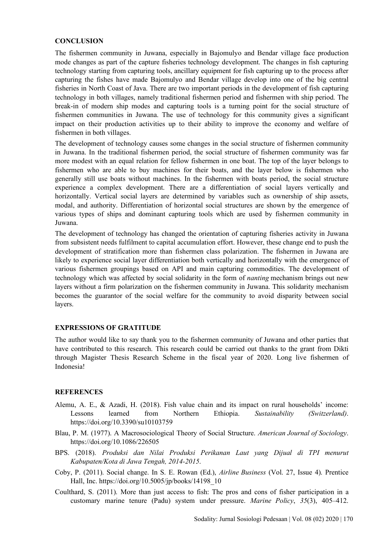### **CONCLUSION**

The fishermen community in Juwana, especially in Bajomulyo and Bendar village face production mode changes as part of the capture fisheries technology development. The changes in fish capturing technology starting from capturing tools, ancillary equipment for fish capturing up to the process after capturing the fishes have made Bajomulyo and Bendar village develop into one of the big central fisheries in North Coast of Java. There are two important periods in the development of fish capturing technology in both villages, namely traditional fishermen period and fishermen with ship period. The break-in of modern ship modes and capturing tools is a turning point for the social structure of fishermen communities in Juwana. The use of technology for this community gives a significant impact on their production activities up to their ability to improve the economy and welfare of fishermen in both villages.

The development of technology causes some changes in the social structure of fishermen community in Juwana. In the traditional fishermen period, the social structure of fishermen community was far more modest with an equal relation for fellow fishermen in one boat. The top of the layer belongs to fishermen who are able to buy machines for their boats, and the layer below is fishermen who generally still use boats without machines. In the fishermen with boats period, the social structure experience a complex development. There are a differentiation of social layers vertically and horizontally. Vertical social layers are determined by variables such as ownership of ship assets, modal, and authority. Differentiation of horizontal social structures are shown by the emergence of various types of ships and dominant capturing tools which are used by fishermen community in Juwana.

The development of technology has changed the orientation of capturing fisheries activity in Juwana from subsistent needs fulfilment to capital accumulation effort. However, these change end to push the development of stratification more than fishermen class polarization. The fishermen in Juwana are likely to experience social layer differentiation both vertically and horizontally with the emergence of various fishermen groupings based on API and main capturing commodities. The development of technology which was affected by social solidarity in the form of *nanting* mechanism brings out new layers without a firm polarization on the fishermen community in Juwana. This solidarity mechanism becomes the guarantor of the social welfare for the community to avoid disparity between social layers.

# **EXPRESSIONS OF GRATITUDE**

The author would like to say thank you to the fishermen community of Juwana and other parties that have contributed to this research. This research could be carried out thanks to the grant from Dikti through Magister Thesis Research Scheme in the fiscal year of 2020. Long live fishermen of Indonesia!

### **REFERENCES**

- Alemu, A. E., & Azadi, H. (2018). Fish value chain and its impact on rural households' income: Lessons learned from Northern Ethiopia. *Sustainability (Switzerland)*. https://doi.org/10.3390/su10103759
- Blau, P. M. (1977). A Macrosociological Theory of Social Structure. *American Journal of Sociology*. https://doi.org/10.1086/226505
- BPS. (2018). *Produksi dan Nilai Produksi Perikanan Laut yang Dijual di TPI menurut Kabupaten/Kota di Jawa Tengah, 2014-2015*.
- Coby, P. (2011). Social change. In S. E. Rowan (Ed.), *Airline Business* (Vol. 27, Issue 4). Prentice Hall, Inc. https://doi.org/10.5005/jp/books/14198\_10
- Coulthard, S. (2011). More than just access to fish: The pros and cons of fisher participation in a customary marine tenure (Padu) system under pressure. *Marine Policy*, *35*(3), 405–412.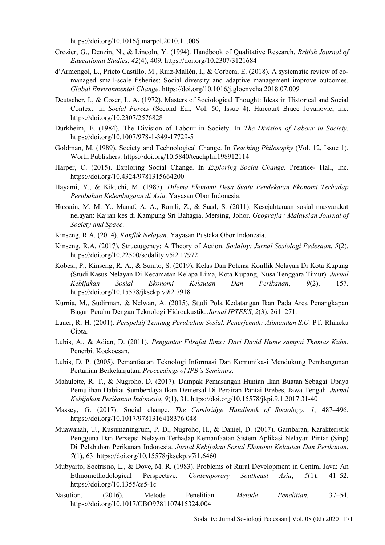https://doi.org/10.1016/j.marpol.2010.11.006

- Crozier, G., Denzin, N., & Lincoln, Y. (1994). Handbook of Qualitative Research. *British Journal of Educational Studies*, *42*(4), 409. https://doi.org/10.2307/3121684
- d'Armengol, L., Prieto Castillo, M., Ruiz-Mallén, I., & Corbera, E. (2018). A systematic review of comanaged small-scale fisheries: Social diversity and adaptive management improve outcomes. *Global Environmental Change*. https://doi.org/10.1016/j.gloenvcha.2018.07.009
- Deutscher, I., & Coser, L. A. (1972). Masters of Sociological Thought: Ideas in Historical and Social Context. In *Social Forces* (Second Edi, Vol. 50, Issue 4). Harcourt Brace Jovanovic, Inc. https://doi.org/10.2307/2576828
- Durkheim, E. (1984). The Division of Labour in Society. In *The Division of Labour in Society*. https://doi.org/10.1007/978-1-349-17729-5
- Goldman, M. (1989). Society and Technological Change. In *Teaching Philosophy* (Vol. 12, Issue 1). Worth Publishers. https://doi.org/10.5840/teachphil198912114
- Harper, C. (2015). Exploring Social Change. In *Exploring Social Change*. Prentice- Hall, Inc. https://doi.org/10.4324/9781315664200
- Hayami, Y., & Kikuchi, M. (1987). *Dilema Ekonomi Desa Suatu Pendekatan Ekonomi Terhadap Perubahan Kelembagaan di Asia*. Yayasan Obor Indonesia.
- Hussain, M. M. Y., Manaf, A. A., Ramli, Z., & Saad, S. (2011). Kesejahteraan sosial masyarakat nelayan: Kajian kes di Kampung Sri Bahagia, Mersing, Johor. *Geografia : Malaysian Journal of Society and Space*.
- Kinseng, R.A. (2014). *Konflik Nelayan*. Yayasan Pustaka Obor Indonesia.
- Kinseng, R.A. (2017). Structugency: A Theory of Action. *Sodality: Jurnal Sosiologi Pedesaan*, *5*(2). https://doi.org/10.22500/sodality.v5i2.17972
- Kobesi, P., Kinseng, R. A., & Sunito, S. (2019). Kelas Dan Potensi Konflik Nelayan Di Kota Kupang (Studi Kasus Nelayan Di Kecamatan Kelapa Lima, Kota Kupang, Nusa Tenggara Timur). *Jurnal Kebijakan Sosial Ekonomi Kelautan Dan Perikanan*, *9*(2), 157. https://doi.org/10.15578/jksekp.v9i2.7918
- Kurnia, M., Sudirman, & Nelwan, A. (2015). Studi Pola Kedatangan Ikan Pada Area Penangkapan Bagan Perahu Dengan Teknologi Hidroakustik. *Jurnal IPTEKS*, *2*(3), 261–271.
- Lauer, R. H. (2001). *Perspektif Tentang Perubahan Sosial. Penerjemah: Alimandan S.U.* PT. Rhineka Cipta.
- Lubis, A., & Adian, D. (2011). *Pengantar Filsafat Ilmu : Dari David Hume sampai Thomas Kuhn*. Penerbit Koekoesan.
- Lubis, D. P. (2005). Pemanfaatan Teknologi Informasi Dan Komunikasi Mendukung Pembangunan Pertanian Berkelanjutan. *Proceedings of IPB's Seminars*.
- Mahulette, R. T., & Nugroho, D. (2017). Dampak Pemasangan Hunian Ikan Buatan Sebagai Upaya Pemulihan Habitat Sumberdaya Ikan Demersal Di Perairan Pantai Brebes, Jawa Tengah. *Jurnal Kebijakan Perikanan Indonesia*, *9*(1), 31. https://doi.org/10.15578/jkpi.9.1.2017.31-40
- Massey, G. (2017). Social change. *The Cambridge Handbook of Sociology*, *1*, 487–496. https://doi.org/10.1017/9781316418376.048
- Muawanah, U., Kusumaningrum, P. D., Nugroho, H., & Daniel, D. (2017). Gambaran, Karakteristik Pengguna Dan Persepsi Nelayan Terhadap Kemanfaatan Sistem Aplikasi Nelayan Pintar (Sinp) Di Pelabuhan Perikanan Indonesia. *Jurnal Kebijakan Sosial Ekonomi Kelautan Dan Perikanan*, *7*(1), 63. https://doi.org/10.15578/jksekp.v7i1.6460
- Mubyarto, Soetrisno, L., & Dove, M. R. (1983). Problems of Rural Development in Central Java: An Ethnomethodological Perspective. *Contemporary Southeast Asia*, *5*(1), 41–52. https://doi.org/10.1355/cs5-1c
- Nasution. (2016). Metode Penelitian. *Metode Penelitian*, 37–54. https://doi.org/10.1017/CBO9781107415324.004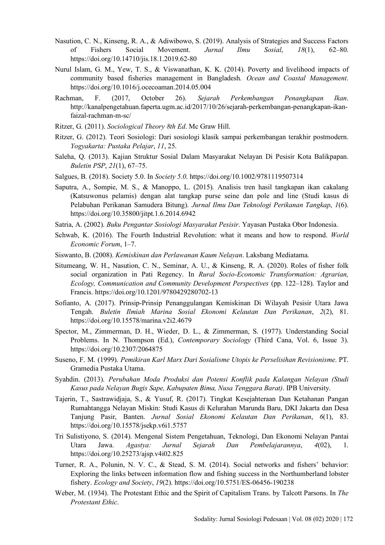- Nasution, C. N., Kinseng, R. A., & Adiwibowo, S. (2019). Analysis of Strategies and Success Factors of Fishers Social Movement. *Jurnal Ilmu Sosial*, *18*(1), 62–80. https://doi.org/10.14710/jis.18.1.2019.62-80
- Nurul Islam, G. M., Yew, T. S., & Viswanathan, K. K. (2014). Poverty and livelihood impacts of community based fisheries management in Bangladesh. *Ocean and Coastal Management*. https://doi.org/10.1016/j.ocecoaman.2014.05.004
- Rachman, F. (2017, October 26). *Sejarah Perkembangan Penangkapan Ikan*. http://kanalpengetahuan.faperta.ugm.ac.id/2017/10/26/sejarah-perkembangan-penangkapan-ikanfaizal-rachman-m-sc/
- Ritzer, G. (2011). *Sociological Theory 8th Ed*. Mc Graw Hill.
- Ritzer, G. (2012). Teori Sosiologi: Dari sosiologi klasik sampai perkembangan terakhir postmodern. *Yogyakarta: Pustaka Pelajar*, *11*, 25.
- Saleha, Q. (2013). Kajian Struktur Sosial Dalam Masyarakat Nelayan Di Pesisir Kota Balikpapan. *Buletin PSP*, *21*(1), 67–75.
- Salgues, B. (2018). Society 5.0. In *Society 5.0*. https://doi.org/10.1002/9781119507314
- Saputra, A., Sompie, M. S., & Manoppo, L. (2015). Analisis tren hasil tangkapan ikan cakalang (Katsuwonus pelamis) dengan alat tangkap purse seine dan pole and line (Studi kasus di Pelabuhan Perikanan Samudera Bitung). *Jurnal Ilmu Dan Teknologi Perikanan Tangkap*, *1*(6). https://doi.org/10.35800/jitpt.1.6.2014.6942
- Satria, A. (2002). *Buku Pengantar Sosiologi Masyarakat Pesisir*. Yayasan Pustaka Obor Indonesia.
- Schwab, K. (2016). The Fourth Industrial Revolution: what it means and how to respond. *World Economic Forum*, 1–7.
- Siswanto, B. (2008). *Kemiskinan dan Perlawanan Kaum Nelayan*. Laksbang Mediatama.
- Situmeang, W. H., Nasution, C. N., Seminar, A. U., & Kinseng, R. A. (2020). Roles of fisher folk social organization in Pati Regency. In *Rural Socio-Economic Transformation: Agrarian, Ecology, Communication and Community Development Perspectives* (pp. 122–128). Taylor and Francis. https://doi.org/10.1201/9780429280702-13
- Sofianto, A. (2017). Prinsip-Prinsip Penanggulangan Kemiskinan Di Wilayah Pesisir Utara Jawa Tengah. *Buletin Ilmiah Marina Sosial Ekonomi Kelautan Dan Perikanan*, *2*(2), 81. https://doi.org/10.15578/marina.v2i2.4679
- Spector, M., Zimmerman, D. H., Wieder, D. L., & Zimmerman, S. (1977). Understanding Social Problems. In N. Thompson (Ed.), *Contemporary Sociology* (Third Cana, Vol. 6, Issue 3). https://doi.org/10.2307/2064875
- Suseno, F. M. (1999). *Pemikiran Karl Marx Dari Sosialisme Utopis ke Perselisihan Revisionisme*. PT. Gramedia Pustaka Utama.
- Syahdin. (2013). *Perubahan Moda Produksi dan Potensi Konflik pada Kalangan Nelayan (Studi Kasus pada Nelayan Bugis Sape, Kabupaten Bima, Nusa Tenggara Barat)*. IPB University.
- Tajerin, T., Sastrawidjaja, S., & Yusuf, R. (2017). Tingkat Kesejahteraan Dan Ketahanan Pangan Rumahtangga Nelayan Miskin: Studi Kasus di Kelurahan Marunda Baru, DKI Jakarta dan Desa Tanjung Pasir, Banten. *Jurnal Sosial Ekonomi Kelautan Dan Perikanan*, *6*(1), 83. https://doi.org/10.15578/jsekp.v6i1.5757
- Tri Sulistiyono, S. (2014). Mengenal Sistem Pengetahuan, Teknologi, Dan Ekonomi Nelayan Pantai Utara Jawa. *Agastya: Jurnal Sejarah Dan Pembelajarannya*, *4*(02), 1. https://doi.org/10.25273/ajsp.v4i02.825
- Turner, R. A., Polunin, N. V. C., & Stead, S. M. (2014). Social networks and fishers' behavior: Exploring the links between information flow and fishing success in the Northumberland lobster fishery. *Ecology and Society*, *19*(2). https://doi.org/10.5751/ES-06456-190238
- Weber, M. (1934). The Protestant Ethic and the Spirit of Capitalism Trans. by Talcott Parsons. In *The Protestant Ethic*.